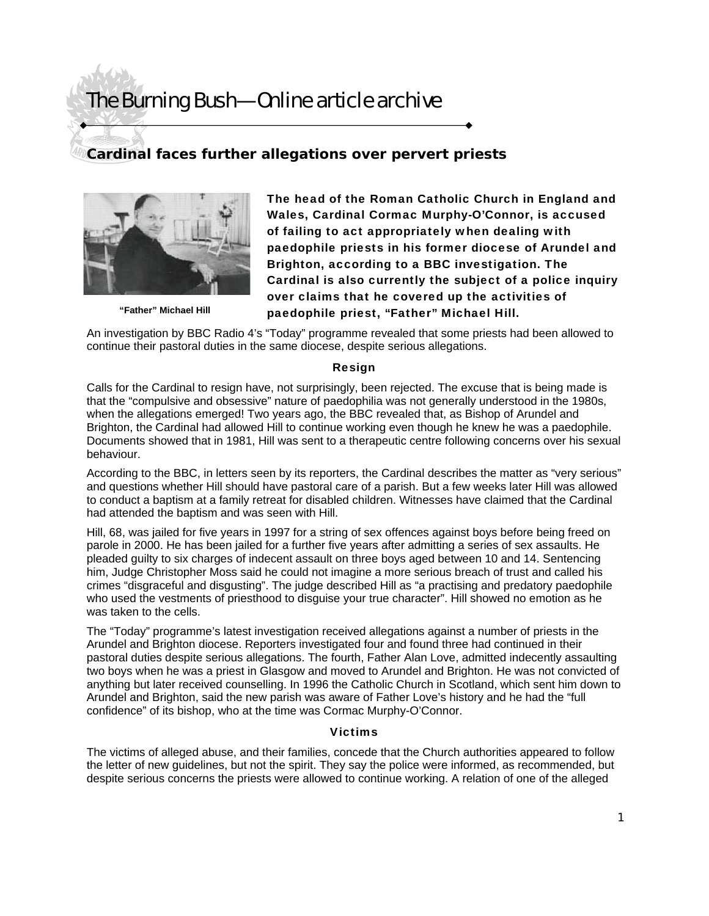## The Burning Bush—Online article archive

### **Cardinal faces further allegations over pervert priests**



**"Father" Michael Hill** 

The head of the Roman Catholic Church in England and Wales, Cardinal Cormac Murphy-O'Connor, is accused of failing to act appropriately when dealing with paedophile priests in his former diocese of Arundel and Brighton, according to a BBC investigation. The Cardinal is also currently the subject of a police inquiry over claims that he covered up the activities of paedophile priest, "Father" Michael Hill.

An investigation by BBC Radio 4's "Today" programme revealed that some priests had been allowed to continue their pastoral duties in the same diocese, despite serious allegations.

#### Resign

Calls for the Cardinal to resign have, not surprisingly, been rejected. The excuse that is being made is that the "compulsive and obsessive" nature of paedophilia was not generally understood in the 1980s, when the allegations emerged! Two years ago, the BBC revealed that, as Bishop of Arundel and Brighton, the Cardinal had allowed Hill to continue working even though he knew he was a paedophile. Documents showed that in 1981, Hill was sent to a therapeutic centre following concerns over his sexual behaviour.

According to the BBC, in letters seen by its reporters, the Cardinal describes the matter as "very serious" and questions whether Hill should have pastoral care of a parish. But a few weeks later Hill was allowed to conduct a baptism at a family retreat for disabled children. Witnesses have claimed that the Cardinal had attended the baptism and was seen with Hill.

Hill, 68, was jailed for five years in 1997 for a string of sex offences against boys before being freed on parole in 2000. He has been jailed for a further five years after admitting a series of sex assaults. He pleaded guilty to six charges of indecent assault on three boys aged between 10 and 14. Sentencing him, Judge Christopher Moss said he could not imagine a more serious breach of trust and called his crimes "disgraceful and disgusting". The judge described Hill as "a practising and predatory paedophile who used the vestments of priesthood to disguise your true character". Hill showed no emotion as he was taken to the cells.

The "Today" programme's latest investigation received allegations against a number of priests in the Arundel and Brighton diocese. Reporters investigated four and found three had continued in their pastoral duties despite serious allegations. The fourth, Father Alan Love, admitted indecently assaulting two boys when he was a priest in Glasgow and moved to Arundel and Brighton. He was not convicted of anything but later received counselling. In 1996 the Catholic Church in Scotland, which sent him down to Arundel and Brighton, said the new parish was aware of Father Love's history and he had the "full confidence" of its bishop, who at the time was Cormac Murphy-O'Connor.

#### Victims

The victims of alleged abuse, and their families, concede that the Church authorities appeared to follow the letter of new guidelines, but not the spirit. They say the police were informed, as recommended, but despite serious concerns the priests were allowed to continue working. A relation of one of the alleged